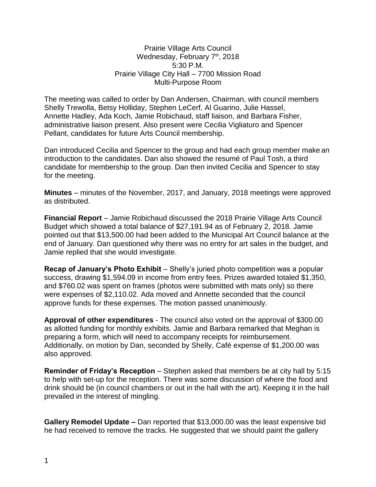Prairie Village Arts Council Wednesday, February 7<sup>th</sup>, 2018 5:30 P.M. Prairie Village City Hall – 7700 Mission Road Multi-Purpose Room

The meeting was called to order by Dan Andersen, Chairman, with council members Shelly Trewolla, Betsy Holliday, Stephen LeCerf, Al Guarino, Julie Hassel, Annette Hadley, Ada Koch, Jamie Robichaud, staff liaison, and Barbara Fisher, administrative liaison present. Also present were Cecilia Vigliaturo and Spencer Pellant, candidates for future Arts Council membership.

Dan introduced Cecilia and Spencer to the group and had each group member make an introduction to the candidates. Dan also showed the resumé of Paul Tosh, a third candidate for membership to the group. Dan then invited Cecilia and Spencer to stay for the meeting.

**Minutes** – minutes of the November, 2017, and January, 2018 meetings were approved as distributed.

**Financial Report** – Jamie Robichaud discussed the 2018 Prairie Village Arts Council Budget which showed a total balance of \$27,191.94 as of February 2, 2018. Jamie pointed out that \$13,500.00 had been added to the Municipal Art Council balance at the end of January. Dan questioned why there was no entry for art sales in the budget, and Jamie replied that she would investigate.

**Recap of January's Photo Exhibit** – Shelly's juried photo competition was a popular success, drawing \$1,594.09 in income from entry fees. Prizes awarded totaled \$1,350, and \$760.02 was spent on frames (photos were submitted with mats only) so there were expenses of \$2,110.02. Ada moved and Annette seconded that the council approve funds for these expenses. The motion passed unanimously.

**Approval of other expenditures** - The council also voted on the approval of \$300.00 as allotted funding for monthly exhibits. Jamie and Barbara remarked that Meghan is preparing a form, which will need to accompany receipts for reimbursement. Additionally, on motion by Dan, seconded by Shelly, Café expense of \$1,200.00 was also approved.

**Reminder of Friday's Reception** – Stephen asked that members be at city hall by 5:15 to help with set-up for the reception. There was some discussion of where the food and drink should be (in council chambers or out in the hall with the art). Keeping it in the hall prevailed in the interest of mingling.

**Gallery Remodel Update –** Dan reported that \$13,000.00 was the least expensive bid he had received to remove the tracks. He suggested that we should paint the gallery